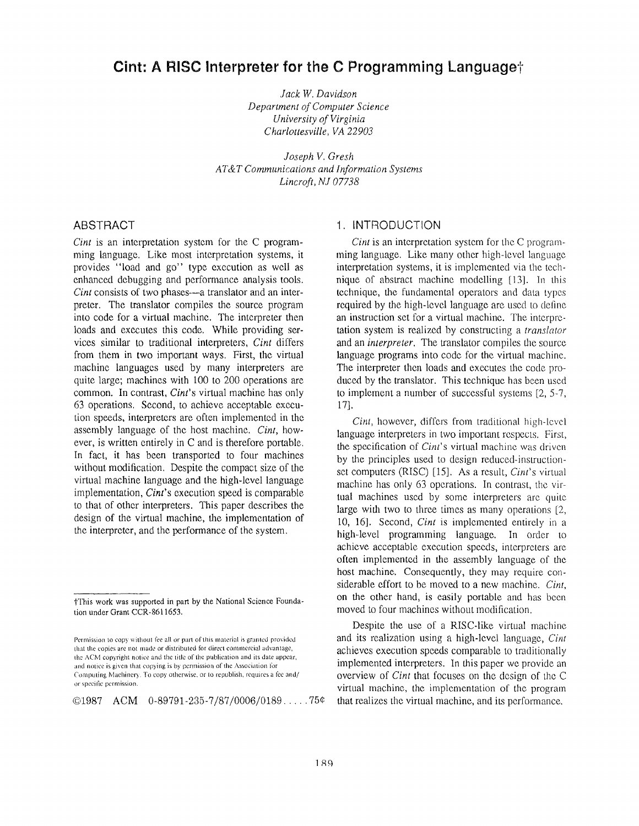# **Cint: A RISC Interpreter for the C Programming Language t**

*Jack W. Davidson Department of Computer Science University of Virgini a Charlottesville, VA 22903*

*Joseph V. Gres h AT&T Communications and Information Systems Lincroft, NJ 07738*

### ABSTRACT

*Cint* is an interpretation system for the C programming language. Like most interpretation systems, it provides "load and go" type execution as well as enhanced debugging and performance analysis tools. *Cint* consists of two phases—a translator and an interpreter. The translator compiles the source program into code for a virtual machine. The interpreter then loads and executes this code, While providing services similar to traditional interpreters, *Cint* differs from them in two important ways. First, the virtual machine languages used by many interpreters are quite large; machines with 100 to 200 operations are common. In contrast, *Cint's* virtual machine has only 63 operations. Second, to achieve acceptable execution speeds, interpreters are often implemented in the assembly language of the host machine. *Cint*, however, is written entirely in C and is therefore portable . In fact, it has been transported to four machines without modification. Despite the compact size of the virtual machine language and the high-level language implementation, *Cint's* execution speed is comparable to that of other interpreters. This paper describes the design of the virtual machine, the implementation of the interpreter, and the performance of the system.

 $@1987$  ACM  $0-89791-235-7/87/0006/0189...75@$ 

### 1. INTRODUCTION

*Cint* is an interpretation system for the C programming language. Like many other high-level language interpretation systems, it is implemented via the technique of abstract machine modelling [13]. In this technique, the fundamental operators and data types required by the high-level language are used to define an instruction set for a virtual machine. The interpretation system is realized by constructing *a translator* and an *interpreter*. The translator compiles the source language programs into code for the virtual machine. The interpreter then loads and executes the code produced by the translator. This technique has been used to implement a number of successful systems [2, 5-7,  $17$ .

*Cint*, however, differs from traditional high-level language interpreters in two important respects. First, the specification of *Cint's* virtual machine was driven by the principles used to design reduced-instructionset computers (RISC) [15]. As a result, *Cint's* virtual machine has only 63 operations. In contrast, the virtual machines used by some interpreters are quite large with two to three times as many operations  $[2, 2]$ 10, 16] . Second, *Cint* is implemented entirely in <sup>a</sup> high-level programming language. In order to achieve acceptable execution speeds, interpreters are often implemented in the assembly language of the host machine. Consequently, they may require considerable effort to be moved to a new machine. *Cint*, on the other hand, is easily portable and has been moved to four machines without modification .

Despite the use of a RISC-like virtual machine and its realization using a high-level language, Cint achieves execution speeds comparable to traditionally implemented interpreters. In this paper we provide an overview of *Cint* that focuses on the design of the C virtual machine, the implementation of the program that realizes the virtual machine, and its performance.

TThis work was supported in part by the National Science Foundation under Grant CCR-8611653.

Permission to copy without fee all or part of this material is granted provided that the copies are not made or distributed for direct commercial advantage, the ACM copyright notice and the title of the publication and its date appear, and notice is given that copying is by permission of the Association for Computing Machinery . To copy otherwise, or to republish, requires a fee and/ or specific permission .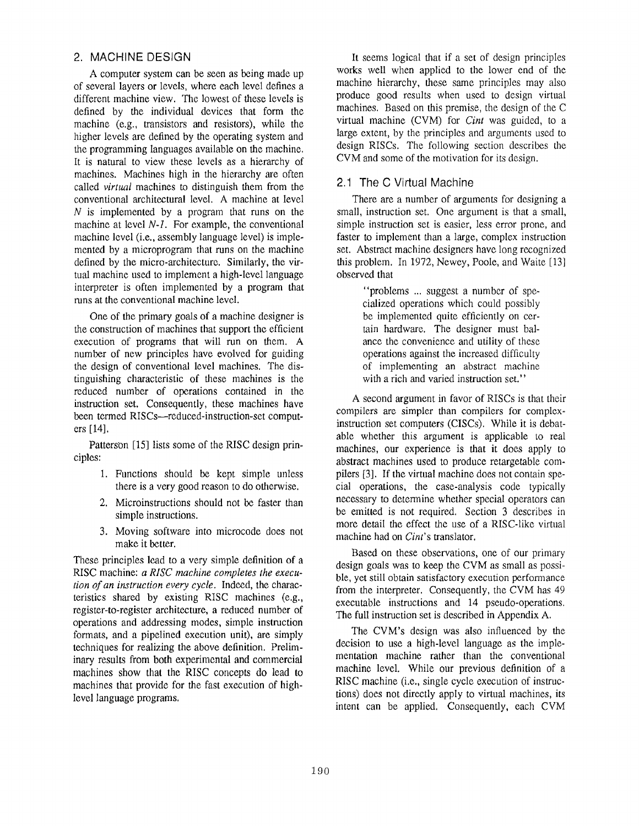# 2. MACHINE DESIGN

A computer system can be seen as being made up of several layers or levels, where each level defines a different machine view. The lowest of these levels is defined by the individual devices that form the machine (e.g., transistors and resistors), while the higher levels are defined by the operating system and the programming languages available on the machine. It is natural to view these levels as a hierarchy of machines. Machines high in the hierarchy are often called *virtual* machines to distinguish them from the conventional architectural level . A machine at level  $N$  is implemented by a program that runs on the machine at level *N-1 .* For example, the conventional machine level (i.e., assembly language level) is implemented by a microprogram that runs on the machine defined by the micro-architecture. Similarly, the virtual machine used to implement a high-level language interpreter is often implemented by a program that runs at the conventional machine level.

One of the primary goals of a machine designer is the construction of machines that support the efficient execution of programs that will run on them. A number of new principles have evolved for guiding the design of conventional level machines. The distinguishing characteristic of these machines is the reduced number of operations contained in the instruction set. Consequently, these machines have been termed RISCs—reduced-instruction-set computers [14].

Patterson [15] lists some of the RISC design principles:

- 1. Functions should be kept simple unless there is a very good reason to do otherwise .
- 2. Microinstructions should not be faster than simple instructions.
- 3. Moving software into microcode does not make it better.

These principles lead to a very simple definition of <sup>a</sup> RISC machine: a RISC machine completes the execu*tion of an instruction every cycle .* Indeed, the characteristics shared by existing RISC machines (e.g., register-to-register architecture, a reduced number of operations and addressing modes, simple instruction formats, and a pipelined execution unit), are simply techniques for realizing the above definition. Preliminary results from both experimental and commercial machines show that the RISC concepts do lead to machines that provide for the fast execution of highlevel language programs.

It seems logical that if a set of design principles works well when applied to the lower end of the machine hierarchy, these same principles may also produce good results when used to design virtual machines. Based on this premise, the design of the C virtual machine (CVM) for *Cint* was guided, to a large extent, by the principles and arguments used to design RISCs. The following section describes the CVM and some of the motivation for its design.

# 2.1 The C Virtual Machine

There are a number of arguments for designing a small, instruction set. One argument is that a small, simple instruction set is easier, less error prone, and faster to implement than a large, complex instruction set. Abstract machine designers have long recognized this problem. In 1972, Newey, Poole, and Waite [13] observed that

> "problems ... suggest a number of specialized operations which could possibly be implemented quite efficiently on certain hardware. The designer must balance the convenience and utility of these operations against the increased difficulty of implementing an abstract machine with a rich and varied instruction set."

A second argument in favor of RISCs is that their compilers are simpler than compilers for complexinstruction set computers (CISCs). While it is debatable whether this argument is applicable to real machines, our experience is that it does apply to abstract machines used to produce retargetable compilers [3]. If the virtual machine does not contain special operations, the case-analysis code typically necessary to determine whether special operators can be emitted is not required. Section 3 describes in more detail the effect the use of a RISC-like virtual machine had on *Cint's* translator.

Based on these observations, one of our primary design goals was to keep the CVM as small as possible, yet still obtain satisfactory execution performance from the interpreter. Consequently, the CVM has 49 executable instructions and 14 pseudo-operations. The full instruction set is described in Appendix A.

The CVM's design was also influenced by the decision to use a high-level language as the implementation machine rather than the conventional machine level. While our previous definition of a RISC machine (i.e., single cycle execution of instructions) does not directly apply to virtual machines, its intent can be applied. Consequently, each CVM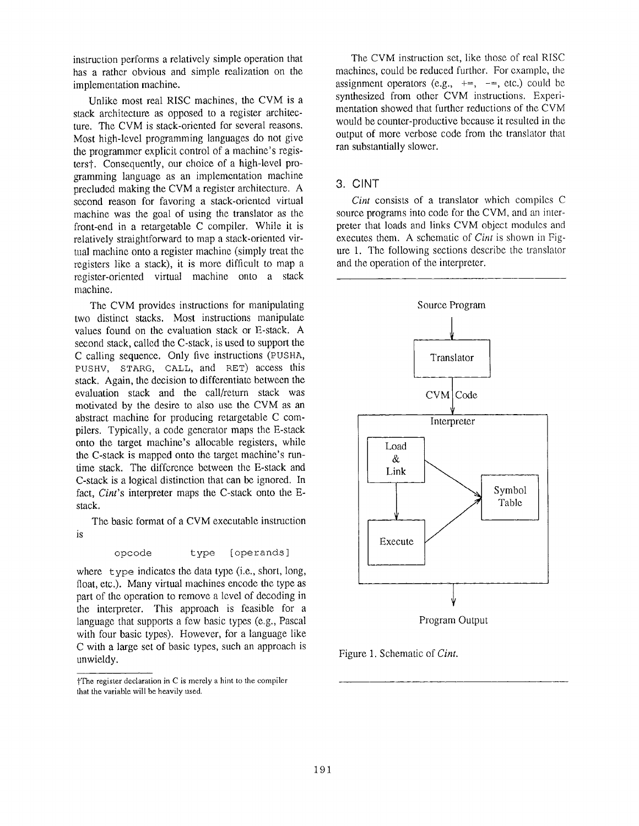instruction performs a relatively simple operation that has a rather obvious and simple realization on the implementation machine.

Unlike most real RISC machines, the CVM is a stack architecture as opposed to a register architecture. The CVM is stack-oriented for several reasons. Most high-level programming languages do not give the programmer explicit control of a machine's registerst. Consequently, our choice of a high-level programming language as an implementation machine precluded making the CVM a register architecture. A second reason for favoring a stack-oriented virtual machine was the goal of using the translator as the front-end in a retargetable C compiler. While it is relatively straightforward to map a stack-oriented virtual machine onto a register machine (simply treat the registers like a stack), it is more difficult to map a register-oriented virtual machine onto a stack machine.

The CVM provides instructions for manipulating two distinct stacks. Most instructions manipulate values found on the evaluation stack or E-stack . A second stack, called the C-stack, is used to support the C calling sequence. Only five instructions (PUSHA, PUSHV, STARG, CALL, and RET) access this stack. Again, the decision to differentiate between the evaluation stack and the call/return stack was motivated by the desire to also use the CVM as an abstract machine for producing retargetable C compilers. Typically, a code generator maps the E-stack onto the target machine's allocable registers, while the C-stack is mapped onto the target machine's runtime stack. The difference between the E-stack and C-stack is a logical distinction that can be ignored. In fact, *Cint's* interpreter maps the C-stack onto the Estack.

The basic format of a CVM executable instruction is

opcode type (operands ]

where  $t$  vpe indicates the data type (i.e., short, long, float, etc.). Many virtual machines encode the type as part of the operation to remove a level of decoding in the interpreter. This approach is feasible for a language that supports a few basic types (e.g., Pascal with four basic types). However, for a language like C with a large set of basic types, such an approach is unwieldy.

The CVM instruction set, like those of real RISC machines, could be reduced further. For example, the assignment operators (e.g.,  $+=$ ,  $==$ , etc.) could be synthesized from other CVM instructions. Experimentation showed that further reductions of the CVM would be counter-productive because it resulted in the output of more verbose code from the translator that ran substantially slower.

### 3. CINT

*Cint* consists of a translator which compiles C source programs into code for the CVM, and an interpreter that loads and links CVM object modules and executes them. A schematic of *Cint* is shown in Figure 1. The following sections describe the translator and the operation of the interpreter .



Program Output

Figure 1. Schematic of Cint.

 $\ddagger$ The register declaration in C is merely a hint to the compiler that the variable will be heavily used.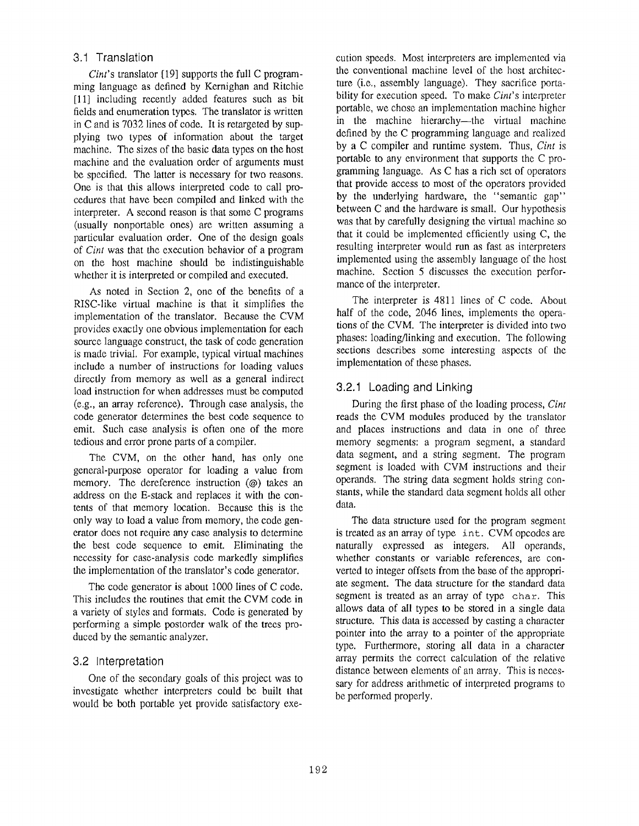# 3.1 Translation

*Cint's* translator [19] supports the full C programming language as defined by Kernighan and Ritchie [11] including recently added features such as bit fields and enumeration types. The translator is written in C and is  $7032$  lines of code. It is retargeted by supplying two types of information about the target machine. The sizes of the basic data types on the host machine and the evaluation order of arguments must be specified. The latter is necessary for two reasons. One is that this allows interpreted code to call procedures that have been compiled and linked with the interpreter. A second reason is that some C programs (usually nonportable ones) are written assuming a particular evaluation order. One of the design goals of *Cint* was that the execution behavior of a program on the host machine should be indistinguishable whether it is interpreted or compiled and executed.

As noted in Section 2, one of the benefits of a RISC-like virtual machine is that it simplifies the implementation of the translator. Because the CVM provides exactly one obvious implementation for each source language construct, the task of code generation is made trivial. For example, typical virtual machines include a number of instructions for loading values directly from memory as well as a general indirect load instruction for when addresses must be computed  $(e.g., an array reference)$ . Through case analysis, the code generator determines the best code sequence to emit. Such case analysis is often one of the more tedious and error prone parts of a compiler.

The CVM, on the other hand, has only one general-purpose operator for loading a value from memory. The dereference instruction  $(\varphi)$  takes an address on the E-stack and replaces it with the contents of that memory location. Because this is the only way to load a value from memory, the code generator does not require any case analysis to determine the best code sequence to emit . Eliminating the necessity for case-analysis code markedly simplifies the implementation of the translator's code generator .

The code generator is about 1000 lines of C code. This includes the routines that emit the CVM code in a variety of styles and formats. Code is generated by performing a simple postorder walk of the trees produced by the semantic analyzer.

# 3.2 Interpretation

One of the secondary goals of this project was to investigate whether interpreters could be built that would be both portable yet provide satisfactory execution speeds. Most interpreters are implemented via the conventional machine level of the host architecture (i.e., assembly language). They sacrifice portability for execution speed. To make *Cint's* interpreter portable, we chose an implementation machine higher in the machine hierarchy—the virtual machine defined by the C programming language and realized by a C compiler and runtime system. Thus, *Cint* is portable to any environment that supports the C programming language. As C has a rich set of operators that provide access to most of the operators provided by the underlying hardware, the "semantic gap" between C and the hardware is small. Our hypothesis was that by carefully designing the virtual machine so that it could be implemented efficiently using  $C$ , the resulting interpreter would run as fast as interpreters implemented using the assembly language of the host machine. Section 5 discusses the execution performance of the interpreter.

The interpreter is 4811 lines of C code. About half of the code, 2046 lines, implements the operations of the CVM. The interpreter is divided into two phases: loading/linking and execution. The following sections describes some interesting aspects of the implementation of these phases.

# 3 .2 .1 Loading and Linking

During the first phase of the loading process, *Cint* reads the CVM modules produced by the translator and places instructions and data in one of three memory segments: a program segment, a standard data segment, and a string segment. The program segment is loaded with CVM instructions and their operands. The string data segment holds string constants, while the standard data segment holds all other data.

The data structure used for the program segment is treated as an array of type int. CVM opcodes are naturally expressed as integers. All operands, whether constants or variable references, are converted to integer offsets from the base of the appropriate segment. The data structure for the standard data segment is treated as an array of type char. This allows data of all types to be stored in a single data structure. This data is accessed by casting a character pointer into the array to a pointer of the appropriate type. Furthermore, storing all data in a character array permits the correct calculation of the relative distance between elements of an array. This is necessary for address arithmetic of interpreted programs to be performed properly.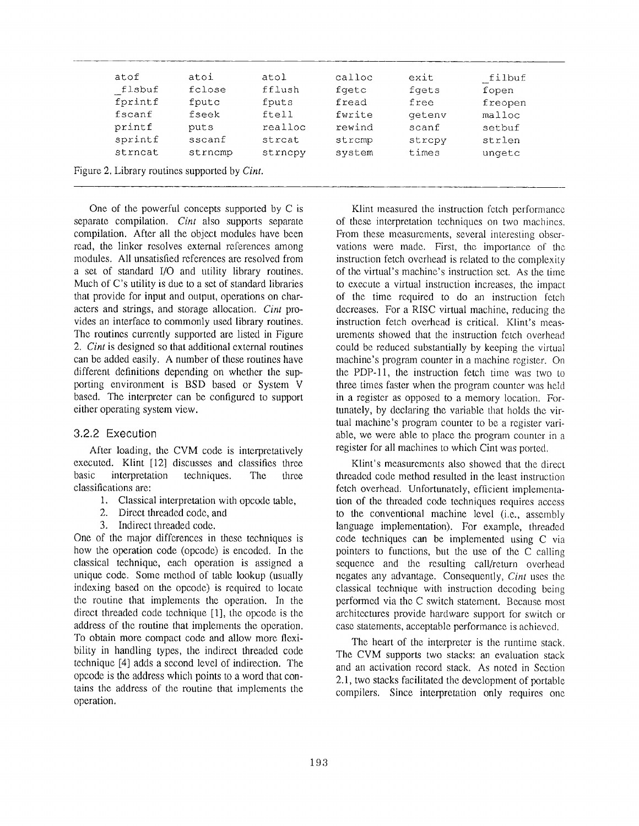| atof    | atoi    | atol    | calloc | exit   | filbuf  |
|---------|---------|---------|--------|--------|---------|
| flsbuf  | fclose  | fflush  | fgetc  | fgets  | fopen   |
| fprintf | fputc   | fputs   | fread  | free   | freopen |
| fscanf  | fseek   | ftell   | fwrite | getenv | malloc  |
| printf  | puts    | realloc | rewind | scanf  | setbuf  |
| sprintf | sscanf  | strcat  | strcmp | stropy | strlen  |
| strncat | strncmp | strncpy | system | times  | ungetc  |

One of the powerful concepts supported by *C* is separate compilation. *Cint* also supports separate compilation. After all the object modules have been read, the linker resolves external references among modules. All unsatisfied references are resolved from a set of standard I/O and utility library routines. Much of C's utility is due to a set of standard libraries that provide for input and output, operations on characters and strings, and storage allocation. *Cint* provides an interface to commonly used library routines. The routines currently supported are listed in Figure 2. *Cint* is designed so that additional external routines can be added easily. A number of these routines have different definitions depending on whether the supporting environment is BSD based or System V based. The interpreter can be configured to support either operating system view.

#### 3 .2.2 Execution

After loading, the CVM code is interpretatively executed. Klint [12] discusses and classifies three basic interpretation techniques. The three classifications are :

- 1. Classical interpretation with opcode table,
- 2. Direct threaded code, and
- 3. Indirect threaded code.

One of the major differences in these techniques is how the operation code (opcode) is encoded. In the classical technique, each operation is assigned a unique code. Some method of table lookup (usually indexing based on the opcode) is required to locate the routine that implements the operation . In the direct threaded code technique  $[1]$ , the opcode is the address of the routine that implements the operation. To obtain more compact code and allow more flexibility in handling types, the indirect threaded code technique [4] adds a second level of indirection . The opcode is the address which points to a word that contains the address of the routine that implements the operation.

Klint measured the instruction fetch performance of these interpretation techniques on two machines. From these measurements, several interesting observations were made. First, the importance of the instruction fetch overhead is related to the complexity of the virtual 's machine's instruction set . As the time to execute a virtual instruction increases, the impact of the time required to do an instruction fetch decreases. For a RISC virtual machine, reducing the instruction fetch overhead is critical. Klint's measurements showed that the instruction fetch overhead could be reduced substantially by keeping the virtual machine's program counter in a machine register. On the PDP-11, the instruction fetch time was two to three times faster when the program counter was held in a register as opposed to a memory location. Fortunately, by declaring the variable that holds the virtual machine's program counter to be a register variable, we were able to place the program counter in a register for all machines to which Cint was ported.

Klint's measurements also showed that the direct threaded code method resulted in the least instruction fetch overhead. Unfortunately, efficient implementation of the threaded code techniques requires access to the conventional machine level (i.e., assembly language implementation). For example, threaded code techniques can be implemented using C via pointers to functions, but the use of the C calling sequence and the resulting call/return overhead negates any advantage. Consequently, *Cint* uses the classical technique with instruction decoding being performed via the C switch statement. Because most architectures provide hardware support for switch or case statements, acceptable performance is achieved.

The heart of the interpreter is the runtime stack. The CVM supports two stacks: an evaluation stack and an activation record stack . As noted in Section 2.1, two stacks facilitated the development of portable compilers. Since interpretation only requires one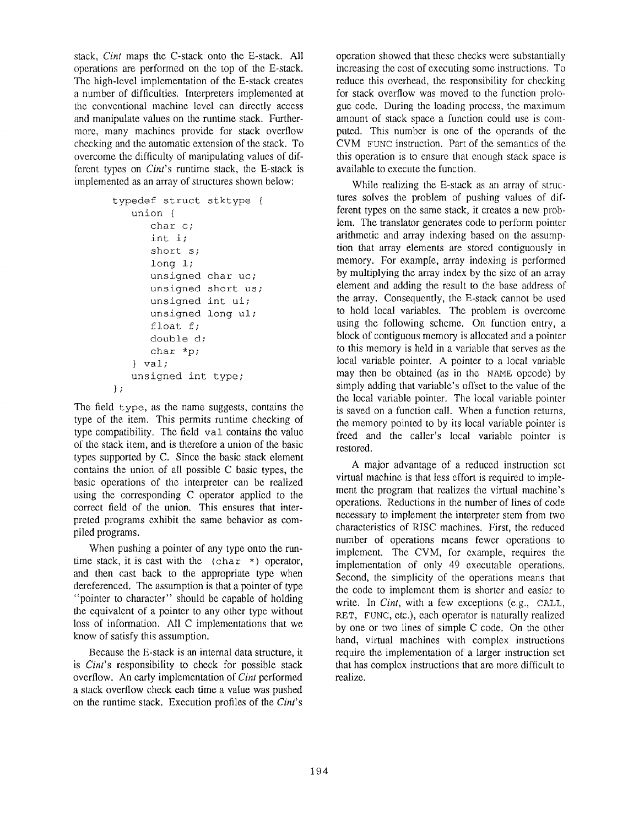stack, *Cint* maps the C-stack onto the E-stack. All operations are performed on the top of the E-stack . The high-level implementation of the E-stack creates a number of difficulties. Interpreters implemented at the conventional machine level can directly access and manipulate values on the runtime stack. Furthermore, many machines provide for stack overflow checking and the automatic extension of the stack . To overcome the difficulty of manipulating values of different types on *Cint's* runtime stack, the E-stack is implemented as an array of structures shown below:

```
typedef struct stktype {
   union {
      char c;
      int \; i;
      short s;
      long l;
      unsigned char uc;
      unsigned short us;
      unsigned int ui;
      unsigned long ul;
      float f;
      double d;
      char *p;
   } val ;
   unsigned int type;
} ;
```
The field type, as the name suggests, contains the type of the item. This permits runtime checking of type compatibility. The field val contains the value of the stack item, and is therefore a union of the basic types supported by  $C$ . Since the basic stack element contains the union of all possible  $C$  basic types, the basic operations of the interpreter can be realized using the corresponding C operator applied to the correct field of the union. This ensures that interpreted programs exhibit the same behavior as compiled programs.

When pushing a pointer of any type onto the runtime stack, it is cast with the  $(char *)$  operator, and then cast back to the appropriate type when dereferenced. The assumption is that a pointer of type "pointer to character" should be capable of holding the equivalent of a pointer to any other type without loss of information. All C implementations that we know of satisfy this assumption.

Because the E-stack is an internal data structure, it is *Cint's* responsibility to check for possible stack overflow. An early implementation of *Cint* performed a stack overflow check each time a value was pushed on the runtime stack . Execution profiles of the *Cint's*

operation showed that these checks were substantiall y increasing the cost of executing some instructions. To reduce this overhead, the responsibility for checking for stack overflow was moved to the function prologue code. During the loading process, the maximum amount of stack space a function could use is computed. This number is one of the operands of the CVM FUNC instruction. Part of the semantics of the this operation is to ensure that enough stack space is available to execute the function.

While realizing the E-stack as an array of structures solves the problem of pushing values of different types on the same stack, it creates a new problem. The translator generates code to perform pointer arithmetic and array indexing based on the assumption that array elements are stored contiguously in memory. For example, array indexing is performed by multiplying the array index by the size of an array element and adding the result to the base address of the array. Consequently, the E-stack cannot be used to hold local variables. The problem is overcome using the following scheme. On function entry, a block of contiguous memory is allocated and a pointer to this memory is held in a variable that serves as the local variable pointer. A pointer to a local variable may then be obtained (as in the NAME opcode) by simply adding that variable's offset to the value of the the local variable pointer. The local variable pointer is saved on a function call. When a function returns, the memory pointed to by its local variable pointer is freed and the caller's local variable pointer is restored.

A major advantage of a reduced instruction set virtual machine is that less effort is required to implement the program that realizes the virtual machine's operations. Reductions in the number of lines of code necessary to implement the interpreter stem from two characteristics of RISC machines. First, the reduced number of operations means fewer operations to implement. The CVM, for example, requires the implementation of only 49 executable operations. Second, the simplicity of the operations means that the code to implement them is shorter and easier to write. In *Cint*, with a few exceptions (e.g., CALL, RET, FUNC, etc.), each operator is naturally realized by one or two lines of simple C code. On the other hand, virtual machines with complex instructions require the implementation of a larger instruction set that has complex instructions that are more difficult to realize.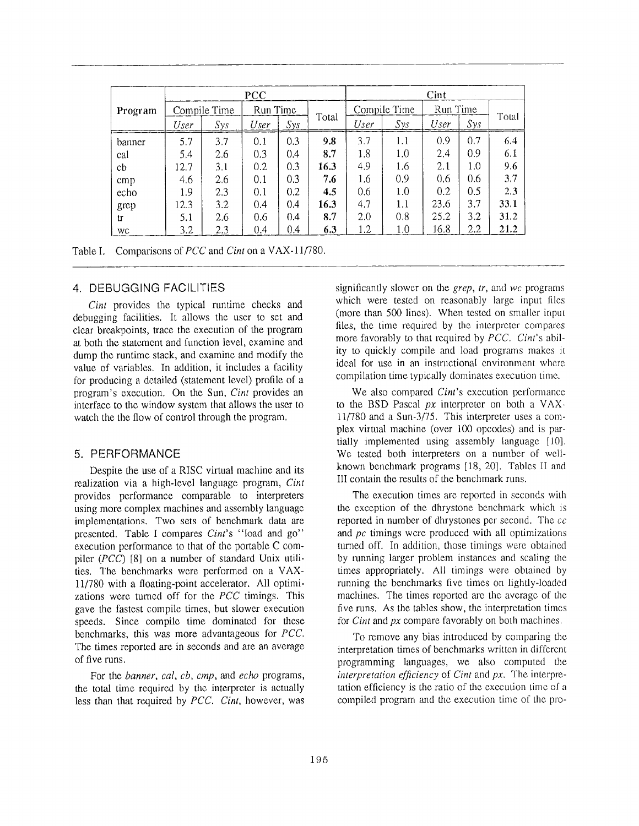|         | <b>PCC</b> |                          |      |     | Cint         |      |          |      |     |       |
|---------|------------|--------------------------|------|-----|--------------|------|----------|------|-----|-------|
| Program |            | Run Time<br>Compile Time |      |     | Compile Time |      | Run Time |      |     |       |
|         | User       | Sys                      | User | Sys | Total        | User | Sys      | User | Sys | Total |
| banner  | 5.7        | 3.7                      | 0.1  | 0.3 | 9.8          | 3.7  | 1.1      | 0.9  | 0.7 | 6.4   |
| cal     | 5.4        | 2.6                      | 0.3  | 0.4 | 8.7          | 1.8  | 1.0      | 2.4  | 0.9 | 6.1   |
| cb      | 12.7       | 3.1                      | 0.2  | 0.3 | 16.3         | 4.9  | 1.6      | 2.1  | 1.0 | 9.6   |
| cmp     | 4.6        | 2.6                      | 0.1  | 0.3 | 7.6          | 1.6  | 0.9      | 0.6  | 0.6 | 3.7   |
| echo    | 1.9        | 2.3                      | 0.1  | 0.2 | 4.5          | 0.6  | 1.0      | 0.2  | 0.5 | 2.3   |
| grep    | 12.3       | 3.2                      | 0.4  | 0.4 | 16.3         | 4.7  | 1.1      | 23.6 | 3.7 | 33.1  |
| tr      | 5.1        | 2.6                      | 0.6  | 0.4 | 8.7          | 2.0  | 0.8      | 25.2 | 3.2 | 31.2  |
| WC      | 3.2        | 2.3                      | 0.4  | 0.4 | 6.3          | 1.2  | 1.0      | 16.8 | 2.2 | 21.2  |

|  | Table I. Comparisons of <i>PCC</i> and <i>Cint</i> on a VAX-11/780. |  |  |  |
|--|---------------------------------------------------------------------|--|--|--|
|--|---------------------------------------------------------------------|--|--|--|

#### 4. DEBUGGING FACILITIES

*Cint* provides the typical runtime checks and debugging facilities. It allows the user to set and clear breakpoints, trace the execution of the program at both the statement and function level, examine and dump the runtime stack, and examine and modify the value of variables. In addition, it includes a facility for producing a detailed (statement level) profile of a program's execution. On the Sun, *Cint* provides an interface to the window system that allows the user to watch the the flow of control through the program.

#### 5. PERFORMANCE

Despite the use of a RISC virtual machine and its realization via a high-level language program, Cint provides performance comparable to interpreters using more complex machines and assembly language implementations. Two sets of benchmark data are presented. Table I compares *Cint's* "load and go" execution performance to that of the portable C compiler *(PCC)* [8] on a number of standard Unix utilities. The benchmarks were performed on a VAX-11/780 with a floating-point accelerator. All optimizations were turned off for the *PCC* timings, This gave the fastest compile times, but slower execution speeds. Since compile time dominated for these benchmarks, this was more advantageous for *FCC.* The times reported are in seconds and are an average of five runs.

For the *banner, cal, cb, cmp,* and *echo* programs, the total time required by the interpreter is actually less than that required by *PCC. Cint,* however, was

significantly slower on the *grep, tr,* and we programs which were tested on reasonably large input files (more than 500 lines). When tested on smaller input files, the time required by the interpreter compares more favorably to that required by *FCC. Cint's* ability to quickly compile and load programs makes it ideal for use in an instructional environment where compilation time typically dominates execution time.

We also compared *Cint's* execution performance to the BSD Pascal *px* interpreter on both a VAX-11/780 and a Sun-3/75 . This interpreter uses a complex virtual machine (over 100 opcodes) and is partially implemented using assembly language [10]. We tested both interpreters on a number of wellknown benchmark programs [18, 20]. Tables II and III contain the results of the benchmark runs.

The execution times are reported in seconds with the exception of the dhrystone benchmark which is reported in number of dhrystones per second. The  $cc$ and  $pc$  timings were produced with all optimizations turned off. In addition, those timings were obtained by running larger problem instances and scaling the times appropriately. All timings were obtained by running the benchmarks five times on lightly-loaded machines. The times reported are the average of the five runs. As the tables show, the interpretation times for *Cint* and *px* compare favorably on both machines,

To remove any bias introduced by comparing the interpretation times of benchmarks written in different programming languages, we also computed the *interpretation efficiency* of *Cint* and *px,* The interpretation efficiency is the ratio of the execution time of a compiled program and the execution time of the pro-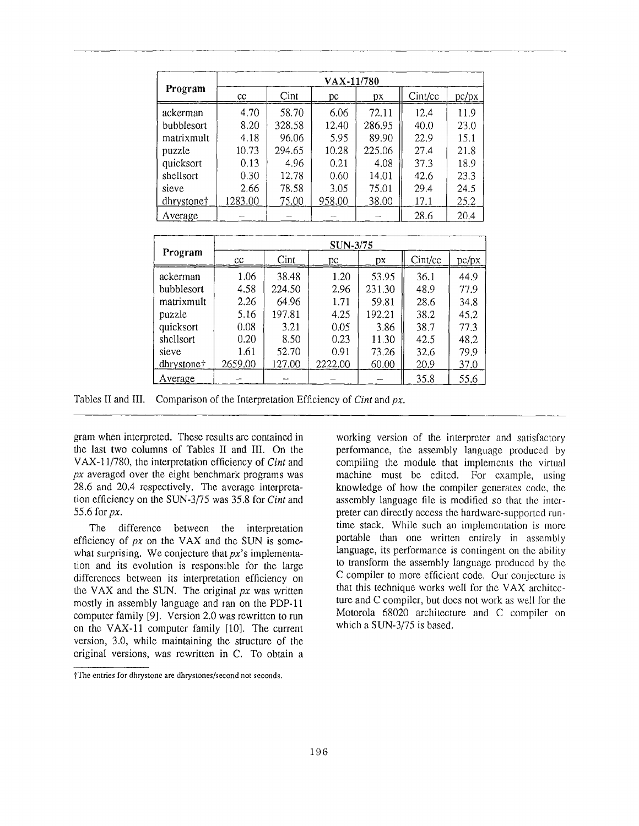|            | VAX-11/780 |        |        |        |         |       |  |  |
|------------|------------|--------|--------|--------|---------|-------|--|--|
| Program    | cc         | Cint   | рc     | pх     | Cint/cc | pc/px |  |  |
| ackerman   | 4.70       | 58.70  | 6.06   | 72.11  | 12.4    | 11.9  |  |  |
| bubblesort | 8.20       | 328.58 | 12.40  | 286.95 | 40.0    | 23.0  |  |  |
| matrixmult | 4.18       | 96.06  | 5.95   | 89.90  | 22.9    | 15.1  |  |  |
| puzzle     | 10.73      | 294.65 | 10.28  | 225.06 | 27.4    | 21.8  |  |  |
| quicksort  | 0.13       | 4.96   | 0.21   | 4.08   | 37.3    | 18.9  |  |  |
| shellsort  | 0.30       | 12.78  | 0.60   | 14.01  | 42.6    | 23.3  |  |  |
| sieve      | 2.66       | 78.58  | 3.05   | 75.01  | 29.4    | 24.5  |  |  |
| dhrystone† | 1283.00    | 75.00  | 958.00 | 38.00  | 17.1    | 25.2  |  |  |
| Average    |            |        |        |        | 28.6    | 20.4  |  |  |

|            | SUN-3/75 |        |         |        |         |       |  |
|------------|----------|--------|---------|--------|---------|-------|--|
| Program    | cc       | Cint   | рc      | DX.    | Cint/cc | pc/px |  |
| ackerman   | 1.06     | 38.48  | 1.20    | 53.95  | 36.1    | 44.9  |  |
| bubblesort | 4.58     | 224.50 | 2.96    | 231.30 | 48.9    | 77.9  |  |
| matrixmult | 2.26     | 64.96  | 1.71    | 59.81  | 28.6    | 34.8  |  |
| puzzle     | 5.16     | 197.81 | 4.25    | 192.21 | 38.2    | 45.2  |  |
| quicksort  | 0.08     | 3.21   | 0.05    | 3.86   | 38.7    | 77.3  |  |
| shellsort  | 0.20     | 8.50   | 0.23    | 11.30  | 42.5    | 48.2  |  |
| sieve      | 1.61     | 52.70  | 0.91    | 73.26  | 32.6    | 79.9  |  |
| dhrystone† | 2659.00  | 127.00 | 2222.00 | 60.00  | 20.9    | 37.0  |  |
| Average    |          |        |         |        | 35.8    | 55.6  |  |

Tables II and III. Comparison of the Interpretation Efficiency of *Cint* and px.

gram when interpreted. These results are contained in the last two columns of Tables II and III. On the VAX-11/780, the interpretation efficiency of *Cint* and  $px$  averaged over the eight benchmark programs was 28 .6 and 20.4 respectively. The average interpretation efficiency on the SUN-3/75 was 35 .8 for *Cint* and 55 .6 for *px.*

The difference between the interpretation efficiency of  $px$  on the VAX and the SUN is somewhat surprising. We conjecture that *px*'s implementation and its evolution is responsible for the large differences between its interpretation efficiency on the VAX and the SUN. The original *px* was written mostly in assembly language and ran on the PDP-11 computer family  $[9]$ . Version 2.0 was rewritten to run on the VAX-11 computer family  $[10]$ . The current version, 3 .0, while maintaining the structure of the original versions, was rewritten in C. To obtain a working version of the interpreter and satisfactory performance, the assembly language produced by compiling the module that implements the virtual machine must be edited. For example, using knowledge of how the compiler generates code, the assembly language file is modified so that the interpreter can directly access the hardware-supported runtime stack. While such an implementation is more portable than one written entirely in assembly language, its performance is contingent on the ability to transform the assembly language produced by the C compiler to more efficient code . Our conjecture is that this technique works well for the VAX architecture and C compiler, but does not work as well for the Motorola 68020 architecture and C compiler on which a SUN-3/75 is based.

file entries for dhrystone are dhrystones/second not seconds .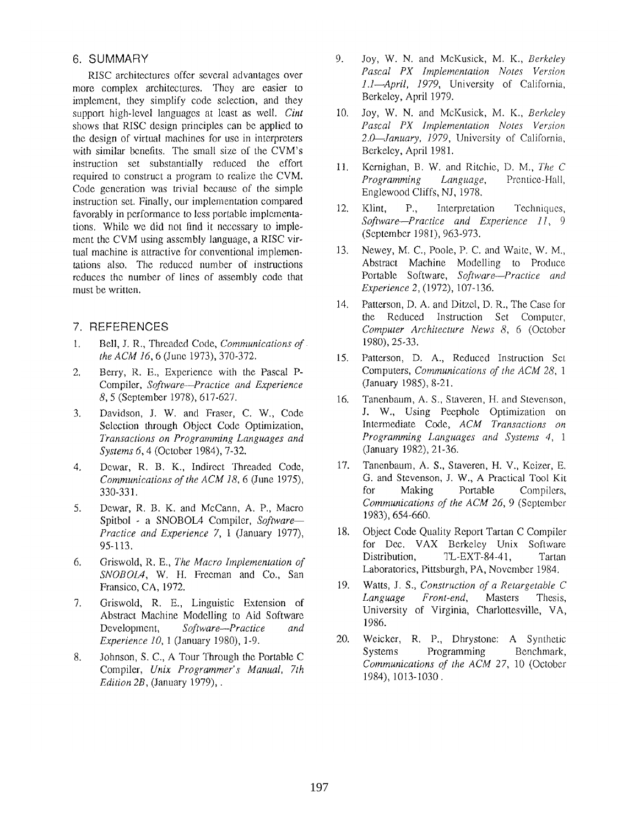### 6. SUMMAR Y

RISC architectures offer several advantages over more complex architectures. They are easier to implement, they simplify code selection, and they support high-level languages at least as well. *Cint* shows that RISC design principles can be applied to the design of virtual machines for use in interpreters with similar benefits. The small size of the CVM's instruction set substantially reduced the effort required to construct a program to realize the CVM . Code generation was trivial because of the simple instruction set. Finally, our implementation compared favorably in performance to less portable implementations. While we did not find it necessary to implement the CVM using assembly language, a RISC virtual machine is attractive for conventional implementations also. The reduced number of instructions reduces the number of lines of assembly code that must be written.

# 7. REFERENCES

- <sup>1</sup> . Bell, J . R., Threaded Code, *Communications of the ACM 16, 6 (June 1973), 370-372.*
- 2. Berry, R. E., Experience with the Pascal P-Compiler, *Software—Practice and Experience* 8, 5 (September 1978), 617-627 .
- 3. Davidson, J. W. and Fraser, C. W., Code Selection through Object Code Optimization, *Transactions on Programming Languages and Systems 6,* 4 (October 1984), 7-32 .
- 4. Dewar, R. B. K., Indirect Threaded Code, *Communications of the ACM 18, 6* (June 1975) , 330-331 .
- 5. Dewar, R. B. K. and McCann, A. P., Macro Spitbol - a SNOBOL4 Compiler, *Software— Practice and Experience 7, 1* (January 1977), 95-113.
- 6. Griswold, R . E., *The Macro Implementation of SNOBOLA*, W. H. Freeman and Co., San Fransico, CA, 1972 .
- 7. Griswold, R. E., Linguistic Extension of Abstract Machine Modelling to Aid Software Development, *Software—Practice and Experience 10, 1 (January 1980), 1-9.*
- 8. Johnson, S. C., A Tour Through the Portable C Compiler, *Unix Programmer's Manual*, 7th *Edition 2B,* (January 1979), .
- 9. Joy, W. N. and McKusick, M . K., *Berkeley Pascal PX Implementation Notes Version* 1.1-April, 1979, University of California, Berkeley, April 1979.
- 10. Joy, W. N. and McKusick, M . K., *Berkeley Pascal PX Implementation Notes Version* 2.0<sup>g</sup>January, 1979, University of California, Berkeley, April 1981.
- 11. Kernighan, B. W. and Ritchie, D. M., *The C Programming Language*, Prentice-Hall, Englewood Cliffs, NJ, 1978.
- 12. Klint, P., Interpretation Techniques, *SoftwarePractice and Experience 11, <sup>9</sup>* (September 1981), 963-973 .
- 13. Newey, M. C., Poole, P. C. and Waite, W. M. , Abstract Machine Modelling to Produce Portable Software, Software-Practice and *Experience 2,* (1972), 107-136 .
- 14. Patterson, D. A. and Ditzel, D. R., The Case for the Reduced Instruction Set Computer, *Computer Architecture News 8, 6 (October* 1980), 25-33 .
- 15. Patterson, D. A., Reduced Instruction Set Computers, *Communications of the ACM 28,* <sup>1</sup> (January 1985), 8-21 .
- 16. Tanenbaum, A. S., Staveren, H. and Stevenson, J. W., Using Peephole Optimization on Intermediate Code, *ACM Transactions on Programming Languages and Systems 4,* <sup>1</sup> (January 1982), 21-36 .
- 17. Tanenbaum, A. S., Staveren, H. V., Keizer, E. G. and Stevenson, J. W., A Practical Tool Kit for Making Portable Compilers, *Communications of the ACM 26, 9 (September* 1983), 654-660 .
- 18. Object Code Quality Report Tartan C Compiler for Dec. VAX Berkeley Unix Software<br>Distribution, TL-EXT-84-41, Tartan TL-EXT-84-41, Tartan Laboratories, Pittsburgh, PA, November 1984 ,
- 19. Watts, J. S., *Construction of a Retargetable C Language Front-end,* Masters Thesis, University of Virginia, Charlottesville, VA, 1986.
- 20. Weicker, R. P., Dhrystone: A Synthetic<br>Systems Programming Benchmark, Programming *Communications of the ACM 27, 10 (October* 1984), 1013-1030 .